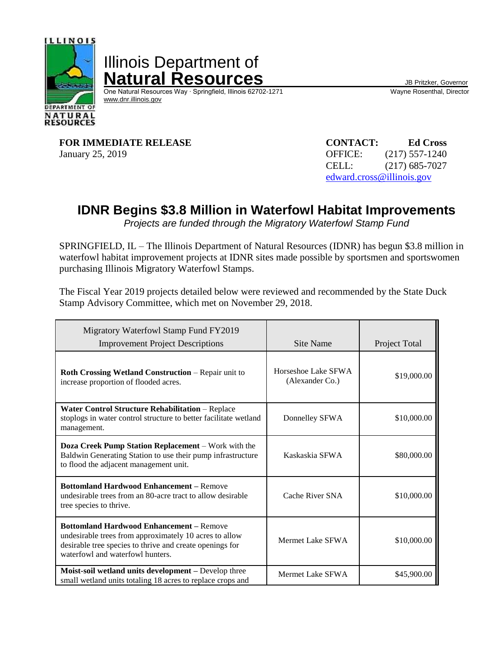

Illinois Department of **Natural Resources**<br>
One Natural Resources Way · Springfield, Illinois 62702-1271 Wayne Rosenthal, Director

One Natural Resources Way ⋅ Springfield, Illinois 62702-1271 [www.dnr.illinois.gov](http://www.dnr.illinois.gov/)

**FOR IMMEDIATE RELEASE CONTACT: Ed Cross** January 25, 2019 OFFICE: (217) 557-1240

CELL: (217) 685-7027 [edward.cross@illinois.gov](mailto:edward.cross@illinois.gov)

## **IDNR Begins \$3.8 Million in Waterfowl Habitat Improvements**

*Projects are funded through the Migratory Waterfowl Stamp Fund*

SPRINGFIELD, IL – The Illinois Department of Natural Resources (IDNR) has begun \$3.8 million in waterfowl habitat improvement projects at IDNR sites made possible by sportsmen and sportswomen purchasing Illinois Migratory Waterfowl Stamps.

The Fiscal Year 2019 projects detailed below were reviewed and recommended by the State Duck Stamp Advisory Committee, which met on November 29, 2018.

| Migratory Waterfowl Stamp Fund FY2019<br><b>Improvement Project Descriptions</b>                                                                                                                          | Site Name                              | Project Total |
|-----------------------------------------------------------------------------------------------------------------------------------------------------------------------------------------------------------|----------------------------------------|---------------|
| <b>Roth Crossing Wetland Construction - Repair unit to</b><br>increase proportion of flooded acres.                                                                                                       | Horseshoe Lake SFWA<br>(Alexander Co.) | \$19,000.00   |
| <b>Water Control Structure Rehabilitation - Replace</b><br>stoplogs in water control structure to better facilitate wetland<br>management.                                                                | Donnelley SFWA                         | \$10,000.00   |
| Doza Creek Pump Station Replacement – Work with the<br>Baldwin Generating Station to use their pump infrastructure<br>to flood the adjacent management unit.                                              | Kaskaskia SFWA                         | \$80,000.00   |
| <b>Bottomland Hardwood Enhancement - Remove</b><br>undesirable trees from an 80-acre tract to allow desirable<br>tree species to thrive.                                                                  | Cache River SNA                        | \$10,000.00   |
| <b>Bottomland Hardwood Enhancement – Remove</b><br>undesirable trees from approximately 10 acres to allow<br>desirable tree species to thrive and create openings for<br>waterfowl and waterfowl hunters. | Mermet Lake SFWA                       | \$10,000.00   |
| Moist-soil wetland units development - Develop three<br>small wetland units totaling 18 acres to replace crops and                                                                                        | Mermet Lake SFWA                       | \$45,900.00   |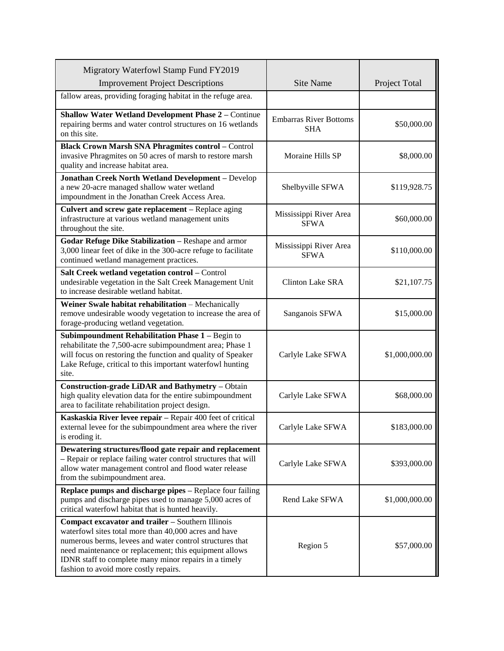| Migratory Waterfowl Stamp Fund FY2019<br><b>Improvement Project Descriptions</b>                                                                                                                                                                                                                                                   | <b>Site Name</b>                            | Project Total  |
|------------------------------------------------------------------------------------------------------------------------------------------------------------------------------------------------------------------------------------------------------------------------------------------------------------------------------------|---------------------------------------------|----------------|
| fallow areas, providing foraging habitat in the refuge area.                                                                                                                                                                                                                                                                       |                                             |                |
| <b>Shallow Water Wetland Development Phase 2 - Continue</b><br>repairing berms and water control structures on 16 wetlands<br>on this site.                                                                                                                                                                                        | <b>Embarras River Bottoms</b><br><b>SHA</b> | \$50,000.00    |
| <b>Black Crown Marsh SNA Phragmites control - Control</b><br>invasive Phragmites on 50 acres of marsh to restore marsh<br>quality and increase habitat area.                                                                                                                                                                       | Moraine Hills SP                            | \$8,000.00     |
| <b>Jonathan Creek North Wetland Development - Develop</b><br>a new 20-acre managed shallow water wetland<br>impoundment in the Jonathan Creek Access Area.                                                                                                                                                                         | Shelbyville SFWA                            | \$119,928.75   |
| Culvert and screw gate replacement - Replace aging<br>infrastructure at various wetland management units<br>throughout the site.                                                                                                                                                                                                   | Mississippi River Area<br><b>SFWA</b>       | \$60,000.00    |
| Godar Refuge Dike Stabilization - Reshape and armor<br>3,000 linear feet of dike in the 300-acre refuge to facilitate<br>continued wetland management practices.                                                                                                                                                                   | Mississippi River Area<br><b>SFWA</b>       | \$110,000.00   |
| Salt Creek wetland vegetation control - Control<br>undesirable vegetation in the Salt Creek Management Unit<br>to increase desirable wetland habitat.                                                                                                                                                                              | <b>Clinton Lake SRA</b>                     | \$21,107.75    |
| Weiner Swale habitat rehabilitation - Mechanically<br>remove undesirable woody vegetation to increase the area of<br>forage-producing wetland vegetation.                                                                                                                                                                          | Sanganois SFWA                              | \$15,000.00    |
| Subimpoundment Rehabilitation Phase 1 - Begin to<br>rehabilitate the 7,500-acre subimpoundment area; Phase 1<br>will focus on restoring the function and quality of Speaker<br>Lake Refuge, critical to this important waterfowl hunting<br>site.                                                                                  | Carlyle Lake SFWA                           | \$1,000,000.00 |
| Construction-grade LiDAR and Bathymetry - Obtain<br>high quality elevation data for the entire subimpoundment<br>area to facilitate rehabilitation project design.                                                                                                                                                                 | Carlyle Lake SFWA                           | \$68,000.00    |
| Kaskaskia River levee repair - Repair 400 feet of critical<br>external levee for the subimpoundment area where the river<br>is eroding it.                                                                                                                                                                                         | Carlyle Lake SFWA                           | \$183,000.00   |
| Dewatering structures/flood gate repair and replacement<br>- Repair or replace failing water control structures that will<br>allow water management control and flood water release<br>from the subimpoundment area.                                                                                                               | Carlyle Lake SFWA                           | \$393,000.00   |
| Replace pumps and discharge pipes - Replace four failing<br>pumps and discharge pipes used to manage 5,000 acres of<br>critical waterfowl habitat that is hunted heavily.                                                                                                                                                          | Rend Lake SFWA                              | \$1,000,000.00 |
| Compact excavator and trailer - Southern Illinois<br>waterfowl sites total more than 40,000 acres and have<br>numerous berms, levees and water control structures that<br>need maintenance or replacement; this equipment allows<br>IDNR staff to complete many minor repairs in a timely<br>fashion to avoid more costly repairs. | Region 5                                    | \$57,000.00    |